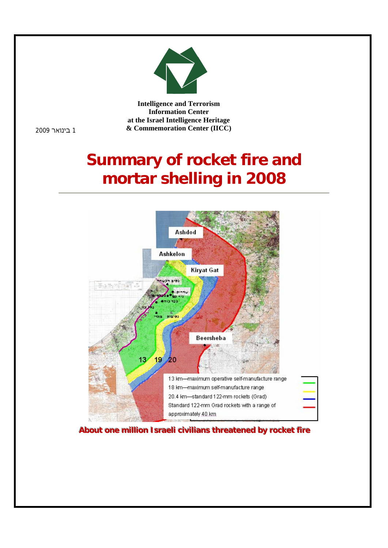

ı

**Intelligence and Terrorism Information Center at the Israel Intelligence Heritage & Commemoration Center (IICC)** 

1 בינואר 2009

# **Summary of rocket fire and mortar shelling in 2008**



About one million Israeli civilians threatened by rocket fire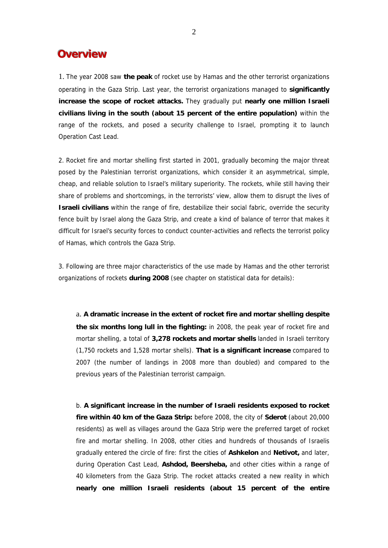## **Overview**

1. The year 2008 saw **the peak** of rocket use by Hamas and the other terrorist organizations operating in the Gaza Strip. Last year, the terrorist organizations managed to **significantly increase the scope of rocket attacks.** They gradually put **nearly one million Israeli civilians living in the south (about 15 percent of the entire population)** within the range of the rockets, and posed a security challenge to Israel, prompting it to launch Operation Cast Lead.

2. Rocket fire and mortar shelling first started in 2001, gradually becoming the major threat posed by the Palestinian terrorist organizations, which consider it an asymmetrical, simple, cheap, and reliable solution to Israel's military superiority. The rockets, while still having their share of problems and shortcomings, in the terrorists' view, allow them to disrupt the lives of **Israeli civilians** within the range of fire, destabilize their social fabric, override the security fence built by Israel along the Gaza Strip, and create a kind of balance of terror that makes it difficult for Israel's security forces to conduct counter-activities and reflects the terrorist policy of Hamas, which controls the Gaza Strip.

3. Following are three major characteristics of the use made by Hamas and the other terrorist organizations of rockets **during 2008** (see chapter on statistical data for details):

a. **A dramatic increase in the extent of rocket fire and mortar shelling despite the six months long lull in the fighting:** in 2008, the peak year of rocket fire and mortar shelling, a total of **3,278 rockets and mortar shells** landed in Israeli territory (1,750 rockets and 1,528 mortar shells). **That is a significant increase** compared to 2007 (the number of landings in 2008 more than doubled) and compared to the previous years of the Palestinian terrorist campaign.

b. **A significant increase in the number of Israeli residents exposed to rocket fire within 40 km of the Gaza Strip:** before 2008, the city of **Sderot** (about 20,000 residents) as well as villages around the Gaza Strip were the preferred target of rocket fire and mortar shelling. In 2008, other cities and hundreds of thousands of Israelis gradually entered the circle of fire: first the cities of **Ashkelon** and **Netivot,** and later, during Operation Cast Lead, **Ashdod, Beersheba,** and other cities within a range of 40 kilometers from the Gaza Strip. The rocket attacks created a new reality in which **nearly one million Israeli residents (about 15 percent of the entire**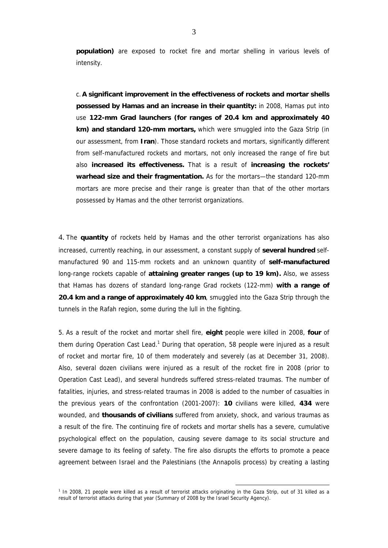**population)** are exposed to rocket fire and mortar shelling in various levels of intensity.

c. **A significant improvement in the effectiveness of rockets and mortar shells possessed by Hamas and an increase in their quantity:** in 2008, Hamas put into use **122-mm Grad launchers (for ranges of 20.4 km and approximately 40 km) and standard 120-mm mortars,** which were smuggled into the Gaza Strip (in our assessment, from **Iran**). Those standard rockets and mortars, significantly different from self-manufactured rockets and mortars, not only increased the range of fire but also **increased its effectiveness.** That is a result of **increasing the rockets' warhead size and their fragmentation.** As for the mortars—the standard 120-mm mortars are more precise and their range is greater than that of the other mortars possessed by Hamas and the other terrorist organizations.

4. The **quantity** of rockets held by Hamas and the other terrorist organizations has also increased, currently reaching, in our assessment, a constant supply of **several hundred** selfmanufactured 90 and 115-mm rockets and an unknown quantity of **self-manufactured**  long-range rockets capable of **attaining greater ranges (up to 19 km).** Also, we assess that Hamas has dozens of standard long-range Grad rockets (122-mm) **with a range of 20.4 km and a range of approximately 40 km**, smuggled into the Gaza Strip through the tunnels in the Rafah region, some during the lull in the fighting.

5. As a result of the rocket and mortar shell fire, **eight** people were killed in 2008, **four** of them during Operation Cast Lead. $1$  During that operation, 58 people were injured as a result of rocket and mortar fire, 10 of them moderately and severely (as at December 31, 2008). Also, several dozen civilians were injured as a result of the rocket fire in 2008 (prior to Operation Cast Lead), and several hundreds suffered stress-related traumas. The number of fatalities, injuries, and stress-related traumas in 2008 is added to the number of casualties in the previous years of the confrontation (2001-2007): **10** civilians were killed, **434** were wounded, and **thousands of civilians** suffered from anxiety, shock, and various traumas as a result of the fire. The continuing fire of rockets and mortar shells has a severe, cumulative psychological effect on the population, causing severe damage to its social structure and severe damage to its feeling of safety. The fire also disrupts the efforts to promote a peace agreement between Israel and the Palestinians (the Annapolis process) by creating a lasting

<u>.</u>

<sup>&</sup>lt;sup>1</sup> In 2008, 21 people were killed as a result of terrorist attacks originating in the Gaza Strip, out of 31 killed as a result of terrorist attacks during that year (Summary of 2008 by the Israel Security Agency).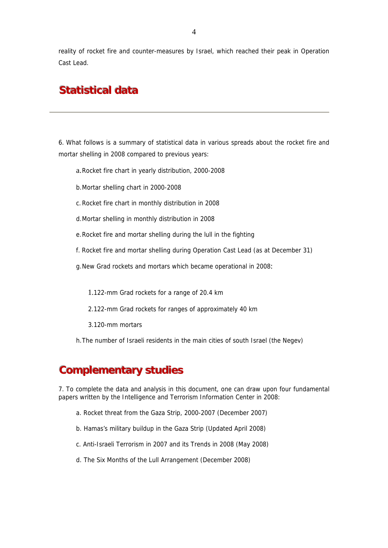reality of rocket fire and counter-measures by Israel, which reached their peak in Operation Cast Lead.

## **Statistical data**

6. What follows is a summary of statistical data in various spreads about the rocket fire and mortar shelling in 2008 compared to previous years:

- a. Rocket fire chart in yearly distribution, 2000-2008
- b. Mortar shelling chart in 2000-2008
- c. Rocket fire chart in monthly distribution in 2008
- d. Mortar shelling in monthly distribution in 2008
- e. Rocket fire and mortar shelling during the lull in the fighting
- f. Rocket fire and mortar shelling during Operation Cast Lead (as at December 31)
- g. New Grad rockets and mortars which became operational in 2008:
	- 1.122-mm Grad rockets for a range of 20.4 km
	- 2.122-mm Grad rockets for ranges of approximately 40 km
	- 3.120-mm mortars
- h. The number of Israeli residents in the main cities of south Israel (the Negev)

## **Complementary studies**

7. To complete the data and analysis in this document, one can draw upon four fundamental papers written by the Intelligence and Terrorism Information Center in 2008:

- a. Rocket threat from the Gaza Strip, 2000-2007 (December 2007)
- b. Hamas's military buildup in the Gaza Strip (Updated April 2008)
- c. Anti-Israeli Terrorism in 2007 and its Trends in 2008 (May 2008)
- d. The Six Months of the Lull Arrangement (December 2008)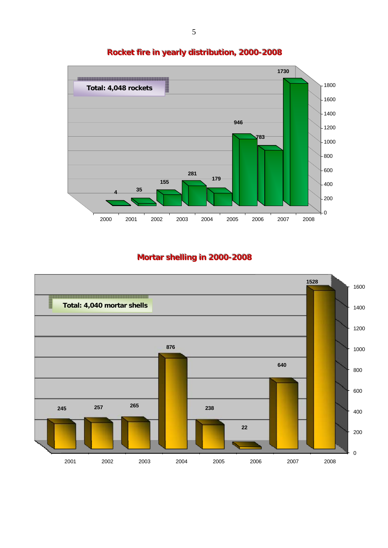

### **Rocket fire in yearly distribution, 2000-2008**

#### **Mortar shelling in 2000-2008**

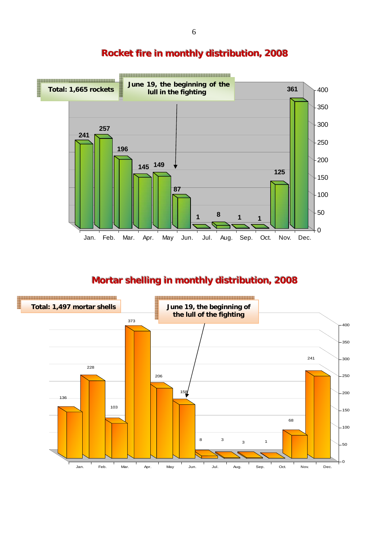

# **Rocket fire in monthly distribution, 2008**

## **Mortar shelling in monthly distribution, 2008**

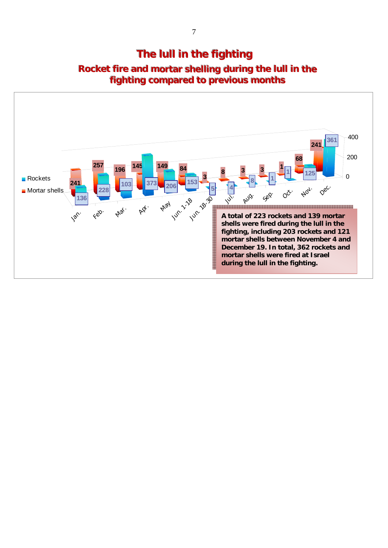**The lull in the fighting** Rocket fire and mortar shelling during the lull in the fighting compared to previous months

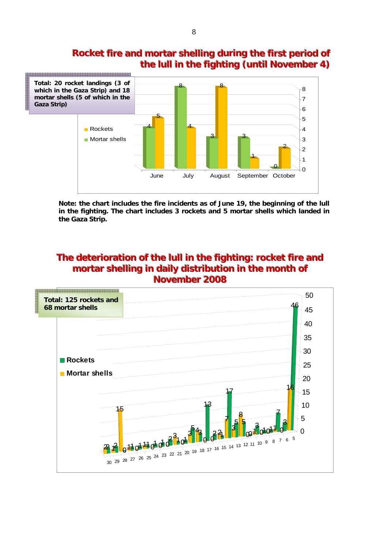

### Rocket fire and mortar shelling during the first period of the lull in the fighting (until November 4)

**Note: the chart includes the fire incidents as of June 19, the beginning of the lull in the fighting. The chart includes 3 rockets and 5 mortar shells which landed in the Gaza Strip.** 

### **The deterioration of the lull in the fighting: rocket fire and mortar shelling in daily distribution in the month of November 2008**

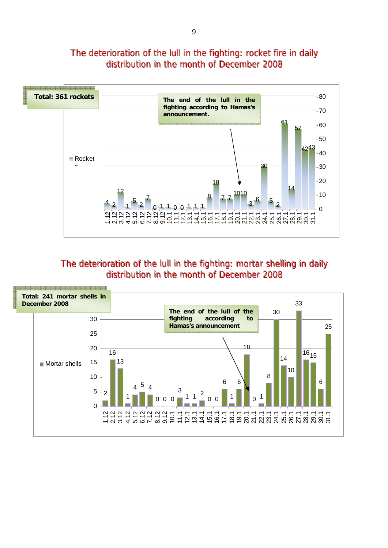### The deterioration of the lull in the fighting: rocket fire in daily distribution in the month of December 2008



# The deterioration of the lull in the fighting: mortar shelling in daily distribution in the month of December 2008<br>Eestimated States of December 2008

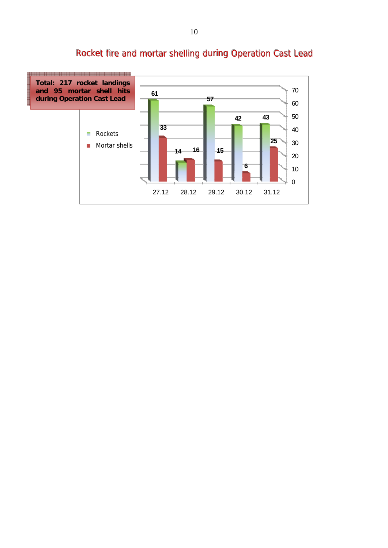

# Rocket fire and mortar shelling during Operation Cast Lead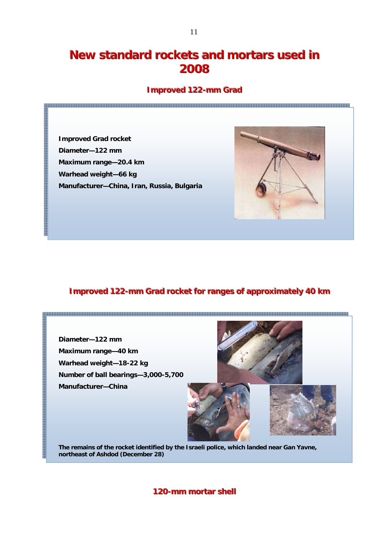## **New standard rockets and mortars used in** 2008

#### **Improved 122-mm Grad**

**Improved Grad rocket Diameter—122 mm Maximum range—20.4 km Warhead weight—66 kg Manufacturer—China, Iran, Russia, Bulgaria**



#### **Improved 122-mm Grad rocket for ranges of approximately 40 km**



**The remains of the rocket identified by the Israeli police, which landed near Gan Yavne, northeast of Ashdod (December 28)** 

**120-mm mortar shell**